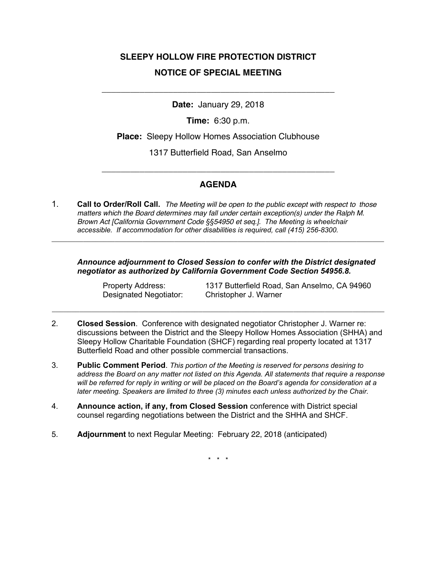## **SLEEPY HOLLOW FIRE PROTECTION DISTRICT NOTICE OF SPECIAL MEETING**

**Date:** January 29, 2018

\_\_\_\_\_\_\_\_\_\_\_\_\_\_\_\_\_\_\_\_\_\_\_\_\_\_\_\_\_\_\_\_\_\_\_\_\_\_\_\_\_\_\_\_\_\_\_\_\_

**Time:** 6:30 p.m.

**Place:** Sleepy Hollow Homes Association Clubhouse

1317 Butterfield Road, San Anselmo

## **AGENDA**

\_\_\_\_\_\_\_\_\_\_\_\_\_\_\_\_\_\_\_\_\_\_\_\_\_\_\_\_\_\_\_\_\_\_\_\_\_\_\_\_\_\_\_\_\_\_\_\_\_

1. **Call to Order/Roll Call.** *The Meeting will be open to the public except with respect to those matters which the Board determines may fall under certain exception(s) under the Ralph M. Brown Act [California Government Code §§54950 et seq.]. The Meeting is wheelchair accessible. If accommodation for other disabilities is required, call (415) 256-8300.*

**\_\_\_\_\_\_\_\_\_\_\_\_\_\_\_\_\_\_\_\_\_\_\_\_\_\_\_\_\_\_\_\_\_\_\_\_\_\_\_\_\_\_\_\_\_\_\_\_\_\_\_\_\_\_\_\_\_\_\_\_\_\_\_\_\_\_\_\_\_\_\_\_\_\_\_\_\_\_\_\_\_\_\_\_**

*Announce adjournment to Closed Session to confer with the District designated negotiator as authorized by California Government Code Section 54956.8.*

Designated Negotiator: Christopher J. Warner

Property Address: 1317 Butterfield Road, San Anselmo, CA 94960

2. **Closed Session**. Conference with designated negotiator Christopher J. Warner re: discussions between the District and the Sleepy Hollow Homes Association (SHHA) and Sleepy Hollow Charitable Foundation (SHCF) regarding real property located at 1317 Butterfield Road and other possible commercial transactions.

**\_\_\_\_\_\_\_\_\_\_\_\_\_\_\_\_\_\_\_\_\_\_\_\_\_\_\_\_\_\_\_\_\_\_\_\_\_\_\_\_\_\_\_\_\_\_\_\_\_\_\_\_\_\_\_\_\_\_\_\_\_\_\_\_\_\_\_\_\_\_\_\_\_\_\_\_\_\_\_\_\_\_\_\_**

- 3. **Public Comment Period**. *This portion of the Meeting is reserved for persons desiring to address the Board on any matter not listed on this Agenda. All statements that require a response will be referred for reply in writing or will be placed on the Board's agenda for consideration at a later meeting. Speakers are limited to three (3) minutes each unless authorized by the Chair.*
- 4. **Announce action, if any, from Closed Session** conference with District special counsel regarding negotiations between the District and the SHHA and SHCF.
- 5. **Adjournment** to next Regular Meeting: February 22, 2018 (anticipated)

\* \* \*